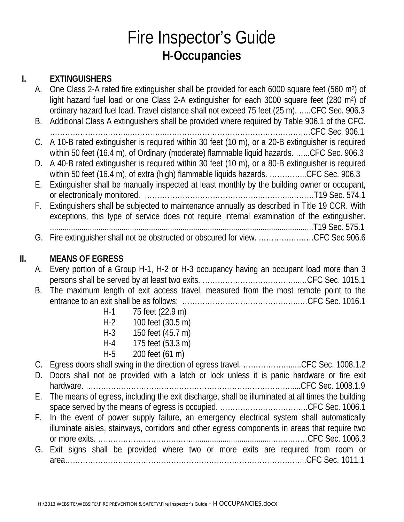## Fire Inspector's Guide **H-Occupancies**

### **I. EXTINGUISHERS**

| A. | One Class 2-A rated fire extinguisher shall be provided for each 6000 square feet (560 m <sup>2</sup> ) of<br>light hazard fuel load or one Class 2-A extinguisher for each 3000 square feet (280 m <sup>2</sup> ) of |
|----|-----------------------------------------------------------------------------------------------------------------------------------------------------------------------------------------------------------------------|
|    | ordinary hazard fuel load. Travel distance shall not exceed 75 feet (25 m). CFC Sec. 906.3                                                                                                                            |
| B. | Additional Class A extinguishers shall be provided where required by Table 906.1 of the CFC.                                                                                                                          |
|    |                                                                                                                                                                                                                       |
|    | C. A 10-B rated extinguisher is required within 30 feet (10 m), or a 20-B extinguisher is required                                                                                                                    |
|    | within 50 feet (16.4 m), of Ordinary (moderate) flammable liquid hazards. CFC Sec. 906.3                                                                                                                              |
|    | D. A 40-B rated extinguisher is required within 30 feet (10 m), or a 80-B extinguisher is required                                                                                                                    |
|    | within 50 feet (16.4 m), of extra (high) flammable liquids hazards. CFC Sec. 906.3                                                                                                                                    |
| E. | Extinguisher shall be manually inspected at least monthly by the building owner or occupant,                                                                                                                          |
|    |                                                                                                                                                                                                                       |
|    | F. Extinguishers shall be subjected to maintenance annually as described in Title 19 CCR. With                                                                                                                        |
|    | exceptions, this type of service does not require internal examination of the extinguisher.                                                                                                                           |
|    |                                                                                                                                                                                                                       |
|    | G. Fire extinguisher shall not be obstructed or obscured for view. CFC Sec 906.6                                                                                                                                      |
|    |                                                                                                                                                                                                                       |

### **II. MEANS OF EGRESS**

| A. Every portion of a Group H-1, H-2 or H-3 occupancy having an occupant load more than 3 |  |
|-------------------------------------------------------------------------------------------|--|
|                                                                                           |  |
| A The second contract of a trade and and a second free the second coordinate the the      |  |

- B. The maximum length of exit access travel, measured from the most remote point to the entrance to an exit shall be as follows: ………………………………………..…CFC Sec. 1016.1
	- H-1 75 feet (22.9 m)
	- H-2 100 feet (30.5 m)
	- H-3 150 feet (45.7 m)
	- H-4 175 feet (53.3 m)
	- H-5 200 feet (61 m)

| C. Egress doors shall swing in the direction of egress travel. CFC Sec. 1008.1.2                     |
|------------------------------------------------------------------------------------------------------|
| D. Doors shall not be provided with a latch or lock unless it is panic hardware or fire exit         |
|                                                                                                      |
| E. The means of egress, including the exit discharge, shall be illuminated at all times the building |
|                                                                                                      |
| F. In the event of power supply failure, an emergency electrical system shall automatically          |
| illuminate aisles, stairways, corridors and other egress components in areas that require two        |
|                                                                                                      |
| G. Exit signs shall be provided where two or more exits are required from room or                    |
|                                                                                                      |
|                                                                                                      |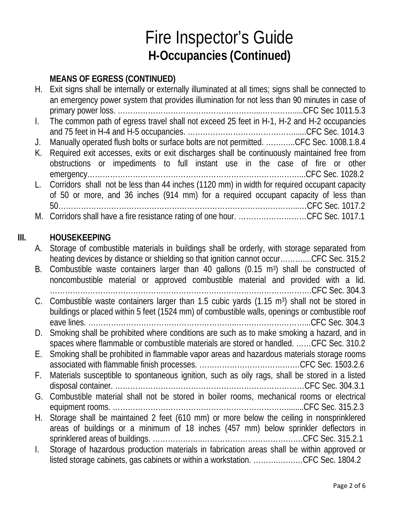### **MEANS OF EGRESS (CONTINUED)**

|    | H. Exit signs shall be internally or externally illuminated at all times; signs shall be connected to |
|----|-------------------------------------------------------------------------------------------------------|
|    | an emergency power system that provides illumination for not less than 90 minutes in case of          |
|    |                                                                                                       |
|    | 1. The common path of egress travel shall not exceed 25 feet in H-1, H-2 and H-2 occupancies          |
|    |                                                                                                       |
| J. | Manually operated flush bolts or surface bolts are not permitted. CFC Sec. 1008.1.8.4                 |
|    | K. Required exit accesses, exits or exit discharges shall be continuously maintained free from        |
|    | obstructions or impediments to full instant use in the case of fire or other                          |
|    |                                                                                                       |
|    | L. Corridors shall not be less than 44 inches (1120 mm) in width for required occupant capacity       |
|    | of 50 or more, and 36 inches (914 mm) for a required occupant capacity of less than                   |
|    |                                                                                                       |
|    | M. Corridors shall have a fire resistance rating of one hour. CFC Sec. 1017.1                         |
|    |                                                                                                       |

#### **III. HOUSEKEEPING**

| А.           | Storage of combustible materials in buildings shall be orderly, with storage separated from<br>heating devices by distance or shielding so that ignition cannot occurCFC Sec. 315.2 |
|--------------|-------------------------------------------------------------------------------------------------------------------------------------------------------------------------------------|
| В.           | Combustible waste containers larger than 40 gallons (0.15 m <sup>3</sup> ) shall be constructed of                                                                                  |
|              | noncombustible material or approved combustible material and provided with a lid.                                                                                                   |
|              |                                                                                                                                                                                     |
|              | C. Combustible waste containers larger than 1.5 cubic yards (1.15 m <sup>3</sup> ) shall not be stored in                                                                           |
|              | buildings or placed within 5 feet (1524 mm) of combustible walls, openings or combustible roof                                                                                      |
|              |                                                                                                                                                                                     |
| D.           | Smoking shall be prohibited where conditions are such as to make smoking a hazard, and in                                                                                           |
|              | spaces where flammable or combustible materials are stored or handled. CFC Sec. 310.2                                                                                               |
| E.,          | Smoking shall be prohibited in flammable vapor areas and hazardous materials storage rooms                                                                                          |
|              |                                                                                                                                                                                     |
| F.           | Materials susceptible to spontaneous ignition, such as oily rags, shall be stored in a listed                                                                                       |
|              |                                                                                                                                                                                     |
| G.           | Combustible material shall not be stored in boiler rooms, mechanical rooms or electrical                                                                                            |
|              |                                                                                                                                                                                     |
| H. .         | Storage shall be maintained 2 feet (610 mm) or more below the ceiling in nonsprinklered                                                                                             |
|              | areas of buildings or a minimum of 18 inches (457 mm) below sprinkler deflectors in                                                                                                 |
|              |                                                                                                                                                                                     |
| $\mathbf{L}$ | Storage of hazardous production materials in fabrication areas shall be within approved or                                                                                          |
|              | listed storage cabinets, gas cabinets or within a workstation. CFC Sec. 1804.2                                                                                                      |
|              |                                                                                                                                                                                     |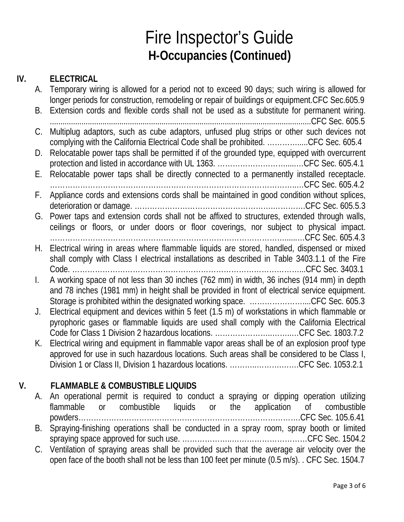#### **IV. ELECTRICAL**

| А. | Temporary wiring is allowed for a period not to exceed 90 days; such wiring is allowed for<br>longer periods for construction, remodeling or repair of buildings or equipment. CFC Sec.605.9                                                                             |
|----|--------------------------------------------------------------------------------------------------------------------------------------------------------------------------------------------------------------------------------------------------------------------------|
| В. | Extension cords and flexible cords shall not be used as a substitute for permanent wiring.                                                                                                                                                                               |
| C. | Multiplug adaptors, such as cube adaptors, unfused plug strips or other such devices not<br>complying with the California Electrical Code shall be prohibited. CFC Sec. 605.4                                                                                            |
| D. | Relocatable power taps shall be permitted if of the grounded type, equipped with overcurrent                                                                                                                                                                             |
| Е. | Relocatable power taps shall be directly connected to a permanently installed receptacle.                                                                                                                                                                                |
| F. | Appliance cords and extensions cords shall be maintained in good condition without splices,                                                                                                                                                                              |
| G. | Power taps and extension cords shall not be affixed to structures, extended through walls,<br>ceilings or floors, or under doors or floor coverings, nor subject to physical impact.                                                                                     |
| Н. | CFC Sec. 605.4.3<br>Electrical wiring in areas where flammable liquids are stored, handled, dispensed or mixed<br>shall comply with Class I electrical installations as described in Table 3403.1.1 of the Fire                                                          |
| I. | A working space of not less than 30 inches (762 mm) in width, 36 inches (914 mm) in depth<br>and 78 inches (1981 mm) in height shall be provided in front of electrical service equipment.<br>Storage is prohibited within the designated working space. CFC Sec. 605.3  |
| J. | Electrical equipment and devices within 5 feet (1.5 m) of workstations in which flammable or<br>pyrophoric gases or flammable liquids are used shall comply with the California Electrical                                                                               |
| К. | Electrical wiring and equipment in flammable vapor areas shall be of an explosion proof type<br>approved for use in such hazardous locations. Such areas shall be considered to be Class I,<br>Division 1 or Class II, Division 1 hazardous locations. CFC Sec. 1053.2.1 |

### **V. FLAMMABLE & COMBUSTIBLE LIQUIDS**

- A. An operational permit is required to conduct a spraying or dipping operation utilizing flammable or combustible liquids or the application of combustible powders…………………………………………………………………………….CFC Sec. 105.6.41 B. Spraying-finishing operations shall be conducted in a spray room, spray booth or limited spraying space approved for such use. ………………..…………………………CFC Sec. 1504.2
- C. Ventilation of spraying areas shall be provided such that the average air velocity over the open face of the booth shall not be less than 100 feet per minute (0.5 m/s). . CFC Sec. 1504.7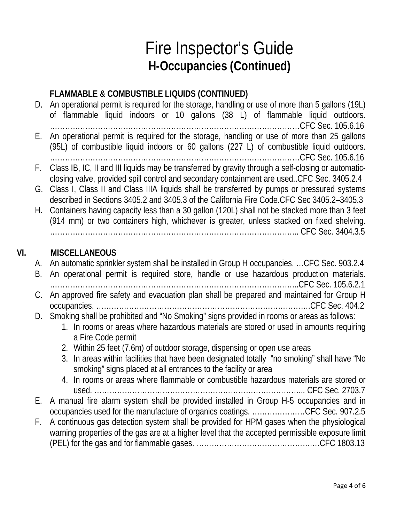#### **FLAMMABLE & COMBUSTIBLE LIQUIDS (CONTINUED)**

- D. An operational permit is required for the storage, handling or use of more than 5 gallons (19L) of flammable liquid indoors or 10 gallons (38 L) of flammable liquid outdoors. ………………………………………………………………………………………CFC Sec. 105.6.16 E. An operational permit is required for the storage, handling or use of more than 25 gallons (95L) of combustible liquid indoors or 60 gallons (227 L) of combustible liquid outdoors. ………………………………………………………………………………………CFC Sec. 105.6.16 F. Class IB, IC, II and III liquids may be transferred by gravity through a self-closing or automaticclosing valve, provided spill control and secondary containment are used..CFC Sec. 3405.2.4
- G. Class I, Class II and Class IIIA liquids shall be transferred by pumps or pressured systems described in Sections 3405.2 and 3405.3 of the California Fire Code.CFC Sec 3405.2–3405.3
- H. Containers having capacity less than a 30 gallon (120L) shall not be stacked more than 3 feet (914 mm) or two containers high, whichever is greater, unless stacked on fixed shelving. ……………………………………………………………………………………... CFC Sec. 3404.3.5

#### **VI. MISCELLANEOUS**

- A. An automatic sprinkler system shall be installed in Group H occupancies. …CFC Sec. 903.2.4
- B. An operational permit is required store, handle or use hazardous production materials. ……………………………………………………………………………………...CFC Sec. 105.6.2.1 C. An approved fire safety and evacuation plan shall be prepared and maintained for Group H occupancies. ………………………………………………………………………….CFC Sec. 404.2
- D. Smoking shall be prohibited and "No Smoking" signs provided in rooms or areas as follows:
	- 1. In rooms or areas where hazardous materials are stored or used in amounts requiring a Fire Code permit
	- 2. Within 25 feet (7.6m) of outdoor storage, dispensing or open use areas
	- 3. In areas within facilities that have been designated totally "no smoking" shall have "No smoking" signs placed at all entrances to the facility or area
	- 4. In rooms or areas where flammable or combustible hazardous materials are stored or used. ………………………………………………………………………... CFC Sec. 2703.7
- E. A manual fire alarm system shall be provided installed in Group H-5 occupancies and in occupancies used for the manufacture of organics coatings. …………………CFC Sec. 907.2.5
- F. A continuous gas detection system shall be provided for HPM gases when the physiological warning properties of the gas are at a higher level that the accepted permissible exposure limit (PEL) for the gas and for flammable gases. ……………………………………….…CFC 1803.13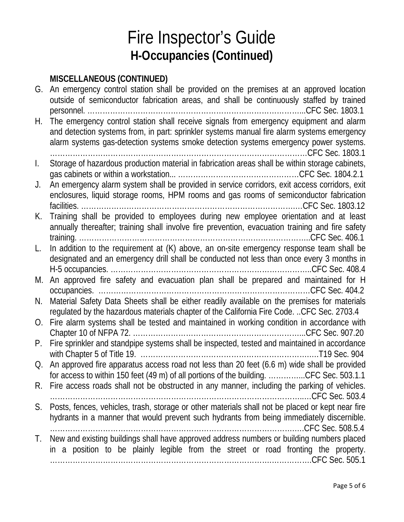### **MISCELLANEOUS (CONTINUED)**

| G.<br>H.       | <u> CLLL, wylodd (COMINIOL</u><br>An emergency control station shall be provided on the premises at an approved location<br>outside of semiconductor fabrication areas, and shall be continuously staffed by trained<br>and detection systems from, in part: sprinkler systems manual fire alarm systems emergency<br>alarm systems gas-detection systems smoke detection systems emergency power systems. |
|----------------|------------------------------------------------------------------------------------------------------------------------------------------------------------------------------------------------------------------------------------------------------------------------------------------------------------------------------------------------------------------------------------------------------------|
| $\mathbf{I}$ . | Storage of hazardous production material in fabrication areas shall be within storage cabinets,                                                                                                                                                                                                                                                                                                            |
|                |                                                                                                                                                                                                                                                                                                                                                                                                            |
| J.             | An emergency alarm system shall be provided in service corridors, exit access corridors, exit<br>enclosures, liquid storage rooms, HPM rooms and gas rooms of semiconductor fabrication                                                                                                                                                                                                                    |
| K.             | Training shall be provided to employees during new employee orientation and at least<br>annually thereafter; training shall involve fire prevention, evacuation training and fire safety                                                                                                                                                                                                                   |
| L.             | In addition to the requirement at (K) above, an on-site emergency response team shall be<br>designated and an emergency drill shall be conducted not less than once every 3 months in                                                                                                                                                                                                                      |
| M.             | An approved fire safety and evacuation plan shall be prepared and maintained for H                                                                                                                                                                                                                                                                                                                         |
| N.             | Material Safety Data Sheets shall be either readily available on the premises for materials<br>regulated by the hazardous materials chapter of the California Fire Code. CFC Sec. 2703.4                                                                                                                                                                                                                   |
| O.             | Fire alarm systems shall be tested and maintained in working condition in accordance with                                                                                                                                                                                                                                                                                                                  |
| $P_{\cdot}$    | Fire sprinkler and standpipe systems shall be inspected, tested and maintained in accordance                                                                                                                                                                                                                                                                                                               |
| Q.             | An approved fire apparatus access road not less than 20 feet (6.6 m) wide shall be provided<br>for access to within 150 feet (49 m) of all portions of the building. CFC Sec. 503.1.1                                                                                                                                                                                                                      |
| R.             | Fire access roads shall not be obstructed in any manner, including the parking of vehicles.                                                                                                                                                                                                                                                                                                                |
| S.             | Posts, fences, vehicles, trash, storage or other materials shall not be placed or kept near fire<br>hydrants in a manner that would prevent such hydrants from being immediately discernible.                                                                                                                                                                                                              |
| T.             | New and existing buildings shall have approved address numbers or building numbers placed<br>in a position to be plainly legible from the street or road fronting the property.                                                                                                                                                                                                                            |